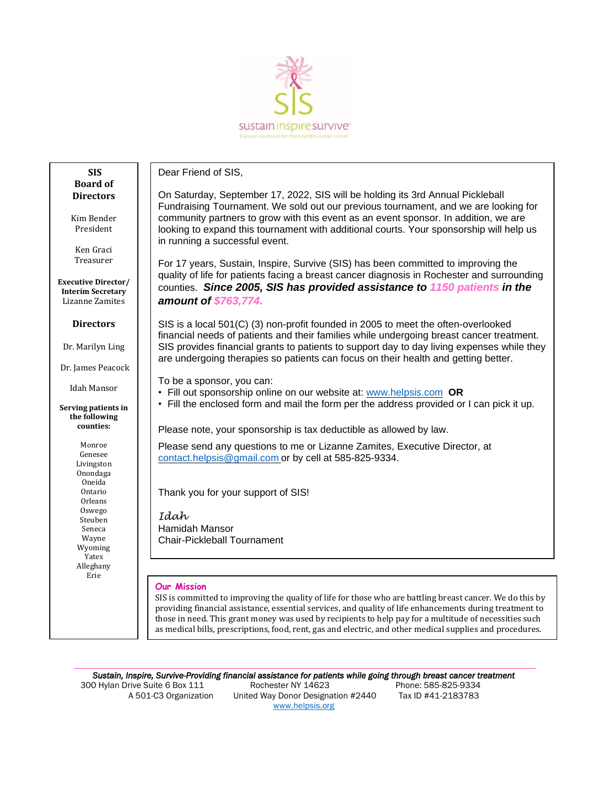

# **SIS Board of Directors**

Kim Bender President

> Ken Graci Treasurer

**Executive Director/ Interim Secretary** Lizanne Zamites

#### **Directors**

Dr. Marilyn Ling

Dr. James Peacock

Idah Mansor

#### **Serving patients in the following counties:**

Monroe Genesee Livingston Onondaga Oneida Ontario Orleans Oswego Steuben Seneca Wayne Wyoming Yates Alleghany Erie

 $\overline{a}$ 

Dear Friend of SIS,

On Saturday, September 17, 2022, SIS will be holding its 3rd Annual Pickleball Fundraising Tournament. We sold out our previous tournament, and we are looking for community partners to grow with this event as an event sponsor. In addition, we are looking to expand this tournament with additional courts. Your sponsorship will help us in running a successful event.

For 17 years, Sustain, Inspire, Survive (SIS) has been committed to improving the quality of life for patients facing a breast cancer diagnosis in Rochester and surrounding counties. *Since 2005, SIS has provided assistance to 1150 patients in the amount of \$763,774.*

SIS is a local 501(C) (3) non-profit founded in 2005 to meet the often-overlooked financial needs of patients and their families while undergoing breast cancer treatment. SIS provides financial grants to patients to support day to day living expenses while they are undergoing therapies so patients can focus on their health and getting better.

To be a sponsor, you can:

• Fill out sponsorship online on our website at: [www.helpsis.com](http://www.helpsis.com/) **OR**

• Fill the enclosed form and mail the form per the address provided or I can pick it up.

Please note, your sponsorship is tax deductible as allowed by law.

Please send any questions to me or Lizanne Zamites, Executive Director, at [contact.helpsis@gmail.com](mailto:contact.helpsis@gmail.com) or by cell at 585-825-9334.

Thank you for your support of SIS!

*Idah* Hamidah Mansor Chair-Pickleball Tournament

### **Our Mission**

SIS is committed to improving the quality of life for those who are battling breast cancer. We do this by providing financial assistance, essential services, and quality of life enhancements during treatment to those in need. This grant money was used by recipients to help pay for a multitude of necessities such as medical bills, prescriptions, food, rent, gas and electric, and other medical supplies and procedures.

*Sustain, Inspire, Survive-Providing financial assistance for patients while going through breast cancer treatment* 

 300 Hylan Drive Suite 6 Box 111 Rochester NY 14623 Phone: 585-825-9334 A 501-C3 Organization United Way Donor Designation #2440 Tax ID #41-2183783 [www.helpsis.org](http://www.helpsis.org/)